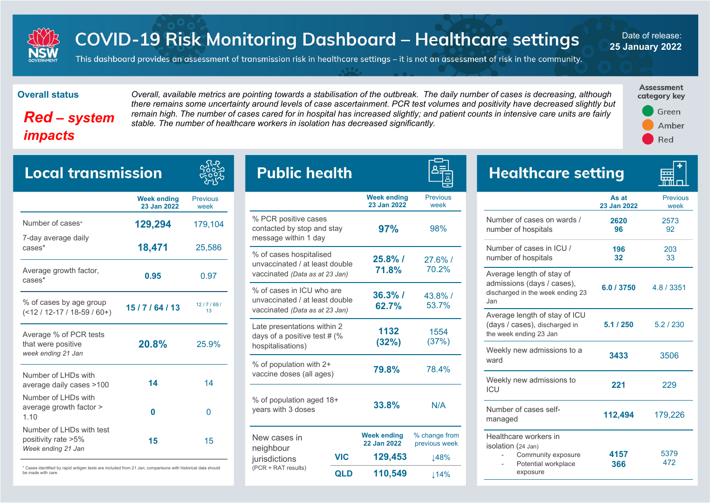

# **COVID-19 Risk Monitoring Dashboard - Healthcare settings**

Date of release: **25 January 2022**

This dashboard provides an assessment of transmission risk in healthcare settings – it is not an assessment of risk in the community.

## *Red – system impacts*

**Overall status** *Overall, available metrics are pointing towards a stabilisation of the outbreak. The daily number of cases is decreasing, although there remains some uncertainty around levels of case ascertainment. PCR test volumes and positivity have decreased slightly but remain high. The number of cases cared for in hospital has increased slightly; and patient counts in intensive care units are fairly stable. The number of healthcare workers in isolation has decreased significantly.* 

一



| <b>Local transmission</b>                                             |                                   |                         |              |                       |
|-----------------------------------------------------------------------|-----------------------------------|-------------------------|--------------|-----------------------|
|                                                                       | <b>Week ending</b><br>23 Jan 2022 | <b>Previous</b><br>week |              |                       |
| Number of cases*                                                      | 129,294                           | 179,104                 |              | %P<br>cont            |
| 7-day average daily<br>cases*                                         | 18,471                            | 25,586                  | mes<br>$%$ o |                       |
| Average growth factor,<br>cases*                                      | 0.95                              |                         |              | unva<br>vaco          |
| % of cases by age group<br>$($ < 12 / 12-17 / 18-59 / 60+)            | 15/7/64/13                        | 12/7/69/<br>13          |              | $%$ o<br>unva<br>vaco |
| Average % of PCR tests<br>that were positive<br>week ending 21 Jan    | 20.8%                             | 25.9%                   |              | Late<br>days<br>hos   |
| Number of LHDs with<br>average daily cases >100                       | 14                                | 14                      |              | $%$ o<br>vaco         |
| Number of LHDs with<br>average growth factor ><br>1.10                | 0                                 | 0                       |              | $%$ o<br>year         |
| Number of LHDs with test<br>positivity rate >5%<br>Week ending 21 Jan | 15                                | 15                      |              | Nev<br>neid           |

\* Cases identified by rapid antigen tests are included from 21 Jan; comparisons with historical data should be made with care.

| Public health                                                                                 |            |                                   |                                |  |
|-----------------------------------------------------------------------------------------------|------------|-----------------------------------|--------------------------------|--|
|                                                                                               |            | <b>Week ending</b><br>23 Jan 2022 | <b>Previous</b><br>week        |  |
| % PCR positive cases<br>contacted by stop and stay<br>message within 1 day                    |            | 97%                               | 98%                            |  |
| % of cases hospitalised<br>unvaccinated / at least double<br>vaccinated (Data as at 23 Jan)   |            | $25.8\%$ /<br>71.8%               | $27.6\%$ /<br>70.2%            |  |
| % of cases in ICU who are<br>unvaccinated / at least double<br>vaccinated (Data as at 23 Jan) |            | $36.3\%$ /<br>62.7%               | 43.8%/<br>53.7%                |  |
| Late presentations within 2<br>days of a positive test # (%<br>hospitalisations)              |            | 1132<br>(32%)                     | 1554<br>(37%)                  |  |
| % of population with 2+<br>vaccine doses (all ages)                                           |            | 79.8%                             | 78.4%                          |  |
| % of population aged 18+<br>years with 3 doses                                                |            | 33.8%                             | N/A                            |  |
| New cases in<br>neighbour                                                                     |            | <b>Week ending</b><br>22 Jan 2022 | % change from<br>previous week |  |
| jurisdictions<br>(PCR + RAT results)                                                          | VIC        | 129,453                           | ⊥48%                           |  |
|                                                                                               | <b>QLD</b> | 110,549                           | ↓14%                           |  |

| <b>Healthcare setting</b>                                                                            |                      |                         |
|------------------------------------------------------------------------------------------------------|----------------------|-------------------------|
|                                                                                                      | As at<br>23 Jan 2022 | <b>Previous</b><br>week |
| Number of cases on wards /<br>number of hospitals                                                    | 2620<br>96           | 2573<br>92              |
| Number of cases in ICU /<br>number of hospitals                                                      | 196<br>32            | 203<br>33               |
| Average length of stay of<br>admissions (days / cases),<br>discharged in the week ending 23<br>Jan   | 6.0 / 3750           | 4.8 / 3351              |
| Average length of stay of ICU<br>(days / cases), discharged in<br>the week ending 23 Jan             | 5.1/250              | 5.2/230                 |
| Weekly new admissions to a<br>ward                                                                   | 3433                 | 3506                    |
| Weekly new admissions to<br>ICU                                                                      | 221                  | 229                     |
| Number of cases self-<br>managed                                                                     | 112,494              | 179,226                 |
| Healthcare workers in<br>isolation (24 Jan)<br>Community exposure<br>Potential workplace<br>exposure | 4157<br>366          | 5379<br>472             |